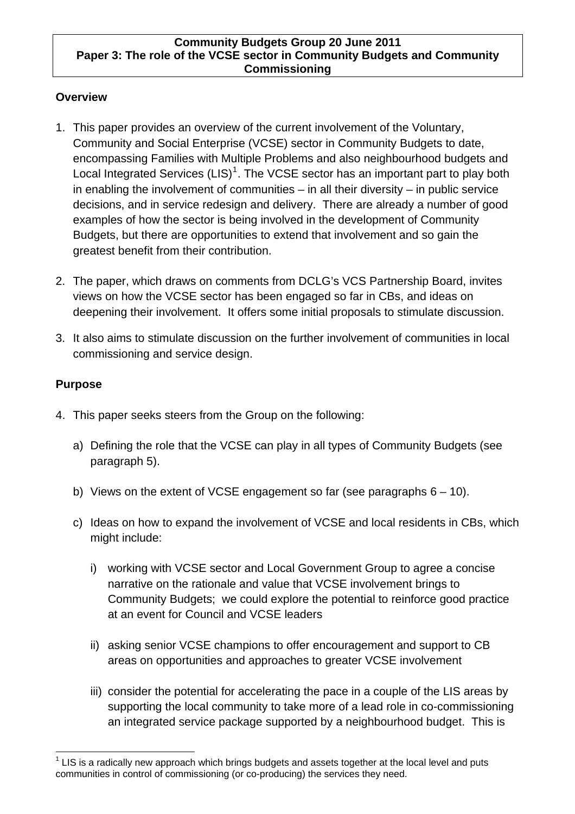#### **Community Budgets Group 20 June 2011 Paper 3: The role of the VCSE sector in Community Budgets and Community Commissioning**

### **Overview**

- 1. This paper provides an overview of the current involvement of the Voluntary, Community and Social Enterprise (VCSE) sector in Community Budgets to date, encompassing Families with Multiple Problems and also neighbourhood budgets and Local Integrated Services (LIS)<sup>[1](#page-0-0)</sup>. The VCSE sector has an important part to play both in enabling the involvement of communities – in all their diversity – in public service decisions, and in service redesign and delivery. There are already a number of good examples of how the sector is being involved in the development of Community Budgets, but there are opportunities to extend that involvement and so gain the greatest benefit from their contribution.
- 2. The paper, which draws on comments from DCLG's VCS Partnership Board, invites views on how the VCSE sector has been engaged so far in CBs, and ideas on deepening their involvement. It offers some initial proposals to stimulate discussion.
- 3. It also aims to stimulate discussion on the further involvement of communities in local commissioning and service design.

# **Purpose**

- 4. This paper seeks steers from the Group on the following:
	- a) Defining the role that the VCSE can play in all types of Community Budgets (see paragraph 5).
	- b) Views on the extent of VCSE engagement so far (see paragraphs  $6 10$ ).
	- c) Ideas on how to expand the involvement of VCSE and local residents in CBs, which might include:
		- i) working with VCSE sector and Local Government Group to agree a concise narrative on the rationale and value that VCSE involvement brings to Community Budgets; we could explore the potential to reinforce good practice at an event for Council and VCSE leaders
		- ii) asking senior VCSE champions to offer encouragement and support to CB areas on opportunities and approaches to greater VCSE involvement
		- iii) consider the potential for accelerating the pace in a couple of the LIS areas by supporting the local community to take more of a lead role in co-commissioning an integrated service package supported by a neighbourhood budget. This is

<span id="page-0-0"></span> $\overline{a}$  $1$  LIS is a radically new approach which brings budgets and assets together at the local level and puts communities in control of commissioning (or co-producing) the services they need.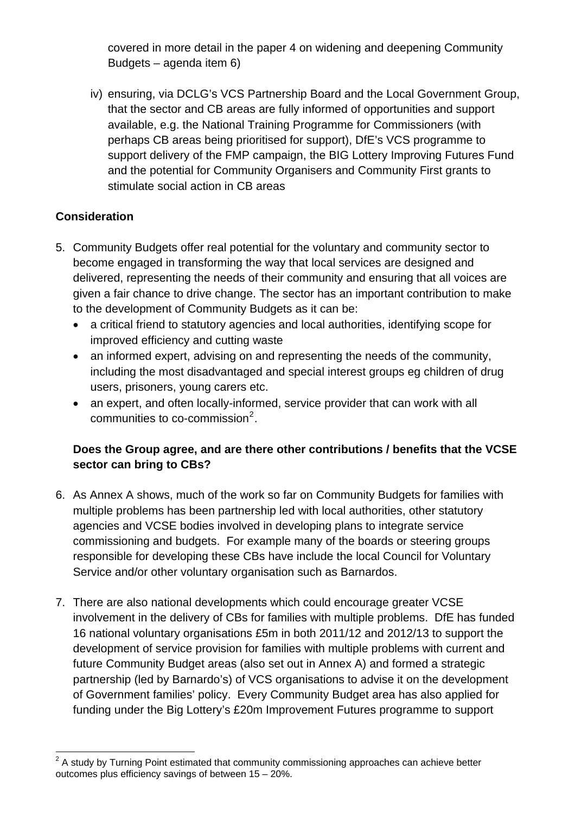covered in more detail in the paper 4 on widening and deepening Community Budgets – agenda item 6)

iv) ensuring, via DCLG's VCS Partnership Board and the Local Government Group, that the sector and CB areas are fully informed of opportunities and support available, e.g. the National Training Programme for Commissioners (with perhaps CB areas being prioritised for support), DfE's VCS programme to support delivery of the FMP campaign, the BIG Lottery Improving Futures Fund and the potential for Community Organisers and Community First grants to stimulate social action in CB areas

# **Consideration**

- 5. Community Budgets offer real potential for the voluntary and community sector to become engaged in transforming the way that local services are designed and delivered, representing the needs of their community and ensuring that all voices are given a fair chance to drive change. The sector has an important contribution to make to the development of Community Budgets as it can be:
	- a critical friend to statutory agencies and local authorities, identifying scope for improved efficiency and cutting waste
	- an informed expert, advising on and representing the needs of the community, including the most disadvantaged and special interest groups eg children of drug users, prisoners, young carers etc.
	- an expert, and often locally-informed, service provider that can work with all communities to co-commission $^2$  $^2$ .

# **Does the Group agree, and are there other contributions / benefits that the VCSE sector can bring to CBs?**

- 6. As Annex A shows, much of the work so far on Community Budgets for families with multiple problems has been partnership led with local authorities, other statutory agencies and VCSE bodies involved in developing plans to integrate service commissioning and budgets. For example many of the boards or steering groups responsible for developing these CBs have include the local Council for Voluntary Service and/or other voluntary organisation such as Barnardos.
- 7. There are also national developments which could encourage greater VCSE involvement in the delivery of CBs for families with multiple problems. DfE has funded 16 national voluntary organisations £5m in both 2011/12 and 2012/13 to support the development of service provision for families with multiple problems with current and future Community Budget areas (also set out in Annex A) and formed a strategic partnership (led by Barnardo's) of VCS organisations to advise it on the development of Government families' policy. Every Community Budget area has also applied for funding under the Big Lottery's £20m Improvement Futures programme to support

<span id="page-1-0"></span><sup>&</sup>lt;u>2</u><br><sup>2</sup> A study by Turning Point estimated that community commissioning approaches can achieve better outcomes plus efficiency savings of between 15 – 20%.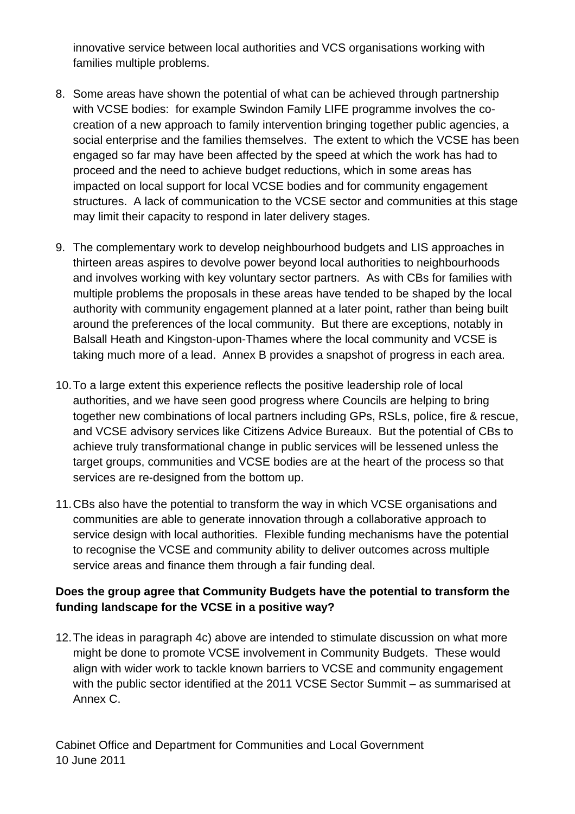innovative service between local authorities and VCS organisations working with families multiple problems.

- 8. Some areas have shown the potential of what can be achieved through partnership with VCSE bodies: for example Swindon Family LIFE programme involves the cocreation of a new approach to family intervention bringing together public agencies, a social enterprise and the families themselves. The extent to which the VCSE has been engaged so far may have been affected by the speed at which the work has had to proceed and the need to achieve budget reductions, which in some areas has impacted on local support for local VCSE bodies and for community engagement structures. A lack of communication to the VCSE sector and communities at this stage may limit their capacity to respond in later delivery stages.
- 9. The complementary work to develop neighbourhood budgets and LIS approaches in thirteen areas aspires to devolve power beyond local authorities to neighbourhoods and involves working with key voluntary sector partners. As with CBs for families with multiple problems the proposals in these areas have tended to be shaped by the local authority with community engagement planned at a later point, rather than being built around the preferences of the local community. But there are exceptions, notably in Balsall Heath and Kingston-upon-Thames where the local community and VCSE is taking much more of a lead. Annex B provides a snapshot of progress in each area.
- 10. To a large extent this experience reflects the positive leadership role of local authorities, and we have seen good progress where Councils are helping to bring together new combinations of local partners including GPs, RSLs, police, fire & rescue, and VCSE advisory services like Citizens Advice Bureaux. But the potential of CBs to achieve truly transformational change in public services will be lessened unless the target groups, communities and VCSE bodies are at the heart of the process so that services are re-designed from the bottom up.
- 11. CBs also have the potential to transform the way in which VCSE organisations and communities are able to generate innovation through a collaborative approach to service design with local authorities. Flexible funding mechanisms have the potential to recognise the VCSE and community ability to deliver outcomes across multiple service areas and finance them through a fair funding deal.

## **Does the group agree that Community Budgets have the potential to transform the funding landscape for the VCSE in a positive way?**

12. The ideas in paragraph 4c) above are intended to stimulate discussion on what more might be done to promote VCSE involvement in Community Budgets. These would align with wider work to tackle known barriers to VCSE and community engagement with the public sector identified at the 2011 VCSE Sector Summit – as summarised at Annex C.

Cabinet Office and Department for Communities and Local Government 10 June 2011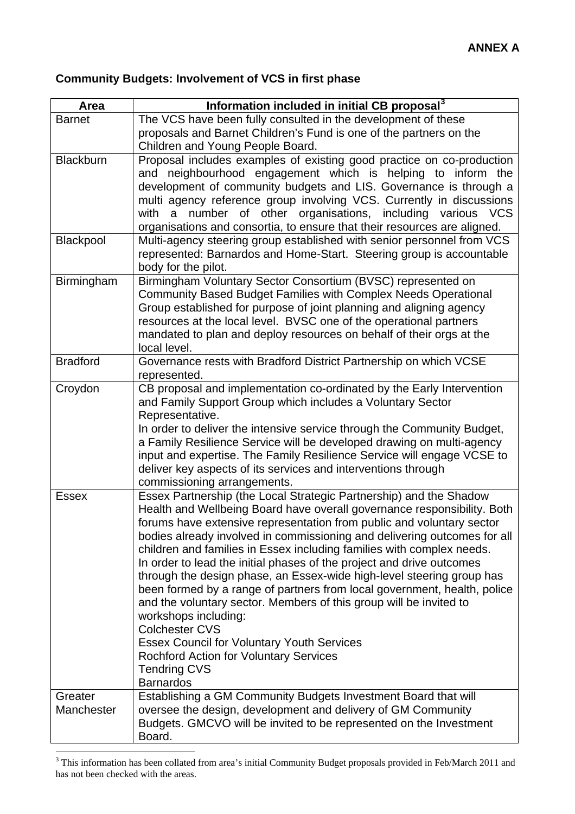# **Community Budgets: Involvement of VCS in first phase**

| Area             | Information included in initial CB proposal <sup>3</sup>                                                                                         |
|------------------|--------------------------------------------------------------------------------------------------------------------------------------------------|
| <b>Barnet</b>    | The VCS have been fully consulted in the development of these                                                                                    |
|                  | proposals and Barnet Children's Fund is one of the partners on the                                                                               |
|                  | Children and Young People Board.                                                                                                                 |
| <b>Blackburn</b> | Proposal includes examples of existing good practice on co-production                                                                            |
|                  | and neighbourhood engagement which is helping to inform the                                                                                      |
|                  | development of community budgets and LIS. Governance is through a                                                                                |
|                  | multi agency reference group involving VCS. Currently in discussions<br>a number of other organisations, including various VCS<br>with           |
|                  | organisations and consortia, to ensure that their resources are aligned.                                                                         |
| Blackpool        | Multi-agency steering group established with senior personnel from VCS                                                                           |
|                  | represented: Barnardos and Home-Start. Steering group is accountable                                                                             |
|                  | body for the pilot.                                                                                                                              |
| Birmingham       | Birmingham Voluntary Sector Consortium (BVSC) represented on                                                                                     |
|                  | Community Based Budget Families with Complex Needs Operational                                                                                   |
|                  | Group established for purpose of joint planning and aligning agency                                                                              |
|                  | resources at the local level. BVSC one of the operational partners                                                                               |
|                  | mandated to plan and deploy resources on behalf of their orgs at the                                                                             |
|                  | local level.                                                                                                                                     |
| <b>Bradford</b>  | Governance rests with Bradford District Partnership on which VCSE<br>represented.                                                                |
| Croydon          | CB proposal and implementation co-ordinated by the Early Intervention                                                                            |
|                  | and Family Support Group which includes a Voluntary Sector                                                                                       |
|                  | Representative.                                                                                                                                  |
|                  | In order to deliver the intensive service through the Community Budget,                                                                          |
|                  | a Family Resilience Service will be developed drawing on multi-agency                                                                            |
|                  | input and expertise. The Family Resilience Service will engage VCSE to                                                                           |
|                  | deliver key aspects of its services and interventions through                                                                                    |
|                  | commissioning arrangements.                                                                                                                      |
| <b>Essex</b>     | Essex Partnership (the Local Strategic Partnership) and the Shadow                                                                               |
|                  | Health and Wellbeing Board have overall governance responsibility. Both<br>forums have extensive representation from public and voluntary sector |
|                  | bodies already involved in commissioning and delivering outcomes for all                                                                         |
|                  | children and families in Essex including families with complex needs.                                                                            |
|                  | In order to lead the initial phases of the project and drive outcomes                                                                            |
|                  | through the design phase, an Essex-wide high-level steering group has                                                                            |
|                  | been formed by a range of partners from local government, health, police                                                                         |
|                  | and the voluntary sector. Members of this group will be invited to                                                                               |
|                  | workshops including:                                                                                                                             |
|                  | <b>Colchester CVS</b>                                                                                                                            |
|                  | <b>Essex Council for Voluntary Youth Services</b>                                                                                                |
|                  | <b>Rochford Action for Voluntary Services</b>                                                                                                    |
|                  | <b>Tendring CVS</b><br><b>Barnardos</b>                                                                                                          |
| Greater          | Establishing a GM Community Budgets Investment Board that will                                                                                   |
| Manchester       | oversee the design, development and delivery of GM Community                                                                                     |
|                  | Budgets. GMCVO will be invited to be represented on the Investment                                                                               |
|                  | Board.                                                                                                                                           |

<span id="page-3-0"></span><sup>&</sup>lt;sup>3</sup> This information has been collated from area's initial Community Budget proposals provided in Feb/March 2011 and has not been checked with the areas.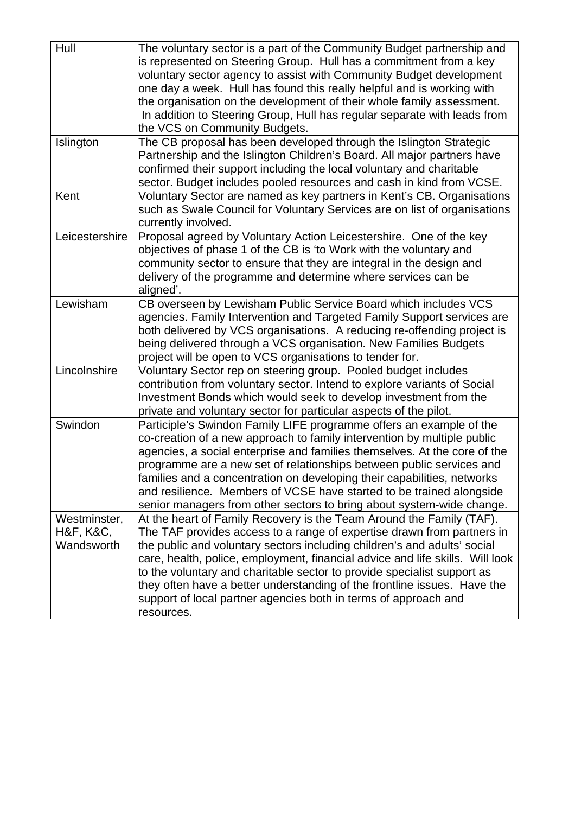| Hull                                    | The voluntary sector is a part of the Community Budget partnership and<br>is represented on Steering Group. Hull has a commitment from a key<br>voluntary sector agency to assist with Community Budget development<br>one day a week. Hull has found this really helpful and is working with<br>the organisation on the development of their whole family assessment.<br>In addition to Steering Group, Hull has regular separate with leads from<br>the VCS on Community Budgets.                                                                 |
|-----------------------------------------|-----------------------------------------------------------------------------------------------------------------------------------------------------------------------------------------------------------------------------------------------------------------------------------------------------------------------------------------------------------------------------------------------------------------------------------------------------------------------------------------------------------------------------------------------------|
| Islington                               | The CB proposal has been developed through the Islington Strategic<br>Partnership and the Islington Children's Board. All major partners have<br>confirmed their support including the local voluntary and charitable<br>sector. Budget includes pooled resources and cash in kind from VCSE.                                                                                                                                                                                                                                                       |
| Kent                                    | Voluntary Sector are named as key partners in Kent's CB. Organisations<br>such as Swale Council for Voluntary Services are on list of organisations<br>currently involved.                                                                                                                                                                                                                                                                                                                                                                          |
| Leicestershire                          | Proposal agreed by Voluntary Action Leicestershire. One of the key<br>objectives of phase 1 of the CB is 'to Work with the voluntary and<br>community sector to ensure that they are integral in the design and<br>delivery of the programme and determine where services can be<br>aligned'.                                                                                                                                                                                                                                                       |
| Lewisham                                | CB overseen by Lewisham Public Service Board which includes VCS<br>agencies. Family Intervention and Targeted Family Support services are<br>both delivered by VCS organisations. A reducing re-offending project is<br>being delivered through a VCS organisation. New Families Budgets<br>project will be open to VCS organisations to tender for.                                                                                                                                                                                                |
| Lincolnshire                            | Voluntary Sector rep on steering group. Pooled budget includes<br>contribution from voluntary sector. Intend to explore variants of Social<br>Investment Bonds which would seek to develop investment from the<br>private and voluntary sector for particular aspects of the pilot.                                                                                                                                                                                                                                                                 |
| Swindon                                 | Participle's Swindon Family LIFE programme offers an example of the<br>co-creation of a new approach to family intervention by multiple public<br>agencies, a social enterprise and families themselves. At the core of the<br>programme are a new set of relationships between public services and<br>families and a concentration on developing their capabilities, networks<br>and resilience. Members of VCSE have started to be trained alongside<br>senior managers from other sectors to bring about system-wide change.                     |
| Westminster,<br>H&F, K&C,<br>Wandsworth | At the heart of Family Recovery is the Team Around the Family (TAF).<br>The TAF provides access to a range of expertise drawn from partners in<br>the public and voluntary sectors including children's and adults' social<br>care, health, police, employment, financial advice and life skills. Will look<br>to the voluntary and charitable sector to provide specialist support as<br>they often have a better understanding of the frontline issues. Have the<br>support of local partner agencies both in terms of approach and<br>resources. |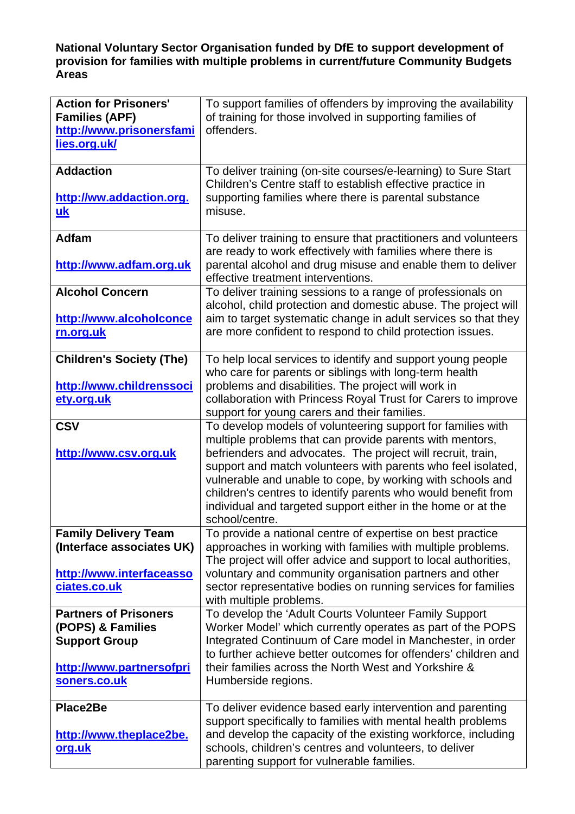#### **National Voluntary Sector Organisation funded by DfE to support development of provision for families with multiple problems in current/future Community Budgets Areas**

| <b>Action for Prisoners'</b><br><b>Families (APF)</b><br>http://www.prisonersfami<br>lies.org.uk/                     | To support families of offenders by improving the availability<br>of training for those involved in supporting families of<br>offenders.                                                                                                                                                                                                                                                                                                                                |
|-----------------------------------------------------------------------------------------------------------------------|-------------------------------------------------------------------------------------------------------------------------------------------------------------------------------------------------------------------------------------------------------------------------------------------------------------------------------------------------------------------------------------------------------------------------------------------------------------------------|
| <b>Addaction</b><br>http://ww.addaction.org.<br>uk                                                                    | To deliver training (on-site courses/e-learning) to Sure Start<br>Children's Centre staff to establish effective practice in<br>supporting families where there is parental substance<br>misuse.                                                                                                                                                                                                                                                                        |
| <b>Adfam</b><br>http://www.adfam.org.uk                                                                               | To deliver training to ensure that practitioners and volunteers<br>are ready to work effectively with families where there is<br>parental alcohol and drug misuse and enable them to deliver<br>effective treatment interventions.                                                                                                                                                                                                                                      |
| <b>Alcohol Concern</b><br>http://www.alcoholconce<br>rn.org.uk                                                        | To deliver training sessions to a range of professionals on<br>alcohol, child protection and domestic abuse. The project will<br>aim to target systematic change in adult services so that they<br>are more confident to respond to child protection issues.                                                                                                                                                                                                            |
| <b>Children's Society (The)</b><br>http://www.childrenssoci<br>ety.org.uk                                             | To help local services to identify and support young people<br>who care for parents or siblings with long-term health<br>problems and disabilities. The project will work in<br>collaboration with Princess Royal Trust for Carers to improve<br>support for young carers and their families.                                                                                                                                                                           |
| <b>CSV</b><br>http://www.csv.org.uk                                                                                   | To develop models of volunteering support for families with<br>multiple problems that can provide parents with mentors,<br>befrienders and advocates. The project will recruit, train,<br>support and match volunteers with parents who feel isolated,<br>vulnerable and unable to cope, by working with schools and<br>children's centres to identify parents who would benefit from<br>individual and targeted support either in the home or at the<br>school/centre. |
| <b>Family Delivery Team</b><br>(Interface associates UK)<br>http://www.interfaceasso<br>ciates.co.uk                  | To provide a national centre of expertise on best practice<br>approaches in working with families with multiple problems.<br>The project will offer advice and support to local authorities,<br>voluntary and community organisation partners and other<br>sector representative bodies on running services for families<br>with multiple problems.                                                                                                                     |
| <b>Partners of Prisoners</b><br>(POPS) & Families<br><b>Support Group</b><br>http://www.partnersofpri<br>soners.co.uk | To develop the 'Adult Courts Volunteer Family Support<br>Worker Model' which currently operates as part of the POPS<br>Integrated Continuum of Care model in Manchester, in order<br>to further achieve better outcomes for offenders' children and<br>their families across the North West and Yorkshire &<br>Humberside regions.                                                                                                                                      |
| Place2Be<br>http://www.theplace2be.<br><u>org.uk</u>                                                                  | To deliver evidence based early intervention and parenting<br>support specifically to families with mental health problems<br>and develop the capacity of the existing workforce, including<br>schools, children's centres and volunteers, to deliver<br>parenting support for vulnerable families.                                                                                                                                                                     |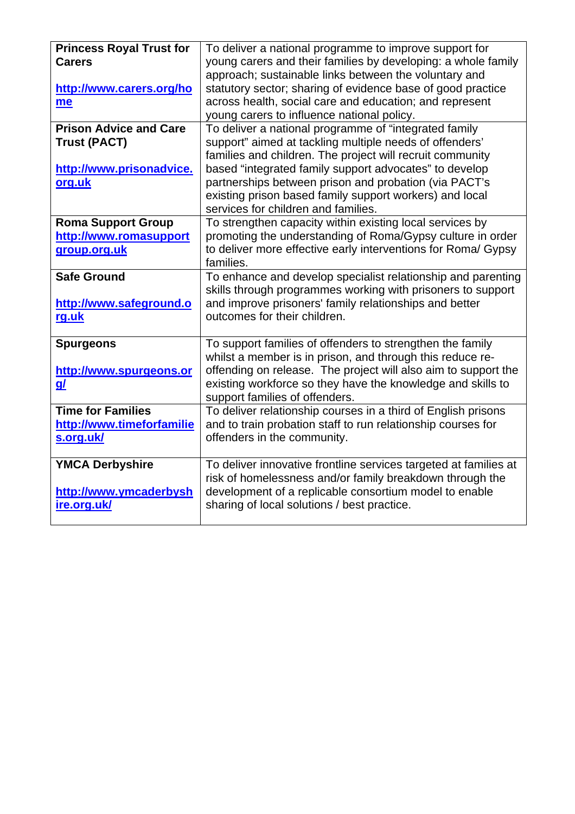| <b>Princess Royal Trust for</b><br><b>Carers</b><br>http://www.carers.org/ho<br>me         | To deliver a national programme to improve support for<br>young carers and their families by developing: a whole family<br>approach; sustainable links between the voluntary and<br>statutory sector; sharing of evidence base of good practice<br>across health, social care and education; and represent<br>young carers to influence national policy.                                           |
|--------------------------------------------------------------------------------------------|----------------------------------------------------------------------------------------------------------------------------------------------------------------------------------------------------------------------------------------------------------------------------------------------------------------------------------------------------------------------------------------------------|
| <b>Prison Advice and Care</b><br><b>Trust (PACT)</b><br>http://www.prisonadvice.<br>org.uk | To deliver a national programme of "integrated family<br>support" aimed at tackling multiple needs of offenders'<br>families and children. The project will recruit community<br>based "integrated family support advocates" to develop<br>partnerships between prison and probation (via PACT's<br>existing prison based family support workers) and local<br>services for children and families. |
| <b>Roma Support Group</b><br>http://www.romasupport<br>group.org.uk                        | To strengthen capacity within existing local services by<br>promoting the understanding of Roma/Gypsy culture in order<br>to deliver more effective early interventions for Roma/ Gypsy<br>families.                                                                                                                                                                                               |
| <b>Safe Ground</b><br>http://www.safeground.o<br>rg.uk                                     | To enhance and develop specialist relationship and parenting<br>skills through programmes working with prisoners to support<br>and improve prisoners' family relationships and better<br>outcomes for their children.                                                                                                                                                                              |
| <b>Spurgeons</b><br>http://www.spurgeons.or<br><u>g/</u>                                   | To support families of offenders to strengthen the family<br>whilst a member is in prison, and through this reduce re-<br>offending on release. The project will also aim to support the<br>existing workforce so they have the knowledge and skills to<br>support families of offenders.                                                                                                          |
| <b>Time for Families</b><br>http://www.timeforfamilie<br>s.org.uk/                         | To deliver relationship courses in a third of English prisons<br>and to train probation staff to run relationship courses for<br>offenders in the community.                                                                                                                                                                                                                                       |
| <b>YMCA Derbyshire</b><br>http://www.ymcaderbysh<br>ire.org.uk/                            | To deliver innovative frontline services targeted at families at<br>risk of homelessness and/or family breakdown through the<br>development of a replicable consortium model to enable<br>sharing of local solutions / best practice.                                                                                                                                                              |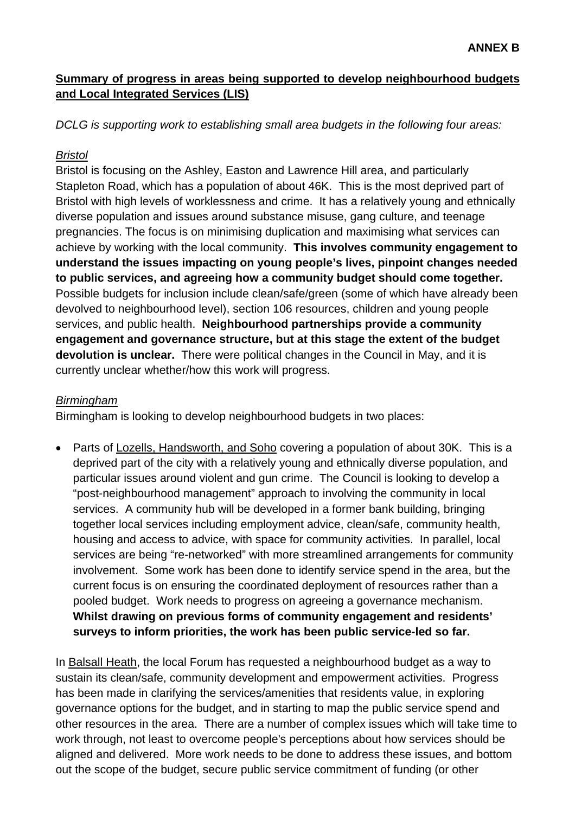### **Summary of progress in areas being supported to develop neighbourhood budgets and Local Integrated Services (LIS)**

*DCLG is supporting work to establishing small area budgets in the following four areas:* 

#### *Bristol*

Bristol is focusing on the Ashley, Easton and Lawrence Hill area, and particularly Stapleton Road, which has a population of about 46K. This is the most deprived part of Bristol with high levels of worklessness and crime. It has a relatively young and ethnically diverse population and issues around substance misuse, gang culture, and teenage pregnancies. The focus is on minimising duplication and maximising what services can achieve by working with the local community. **This involves community engagement to understand the issues impacting on young people's lives, pinpoint changes needed to public services, and agreeing how a community budget should come together.** Possible budgets for inclusion include clean/safe/green (some of which have already been devolved to neighbourhood level), section 106 resources, children and young people services, and public health. **Neighbourhood partnerships provide a community engagement and governance structure, but at this stage the extent of the budget devolution is unclear.** There were political changes in the Council in May, and it is currently unclear whether/how this work will progress.

#### *Birmingham*

Birmingham is looking to develop neighbourhood budgets in two places:

• Parts of Lozells, Handsworth, and Soho covering a population of about 30K. This is a deprived part of the city with a relatively young and ethnically diverse population, and particular issues around violent and gun crime. The Council is looking to develop a "post-neighbourhood management" approach to involving the community in local services. A community hub will be developed in a former bank building, bringing together local services including employment advice, clean/safe, community health, housing and access to advice, with space for community activities. In parallel, local services are being "re-networked" with more streamlined arrangements for community involvement. Some work has been done to identify service spend in the area, but the current focus is on ensuring the coordinated deployment of resources rather than a pooled budget. Work needs to progress on agreeing a governance mechanism. **Whilst drawing on previous forms of community engagement and residents' surveys to inform priorities, the work has been public service-led so far.**

In Balsall Heath, the local Forum has requested a neighbourhood budget as a way to sustain its clean/safe, community development and empowerment activities. Progress has been made in clarifying the services/amenities that residents value, in exploring governance options for the budget, and in starting to map the public service spend and other resources in the area. There are a number of complex issues which will take time to work through, not least to overcome people's perceptions about how services should be aligned and delivered. More work needs to be done to address these issues, and bottom out the scope of the budget, secure public service commitment of funding (or other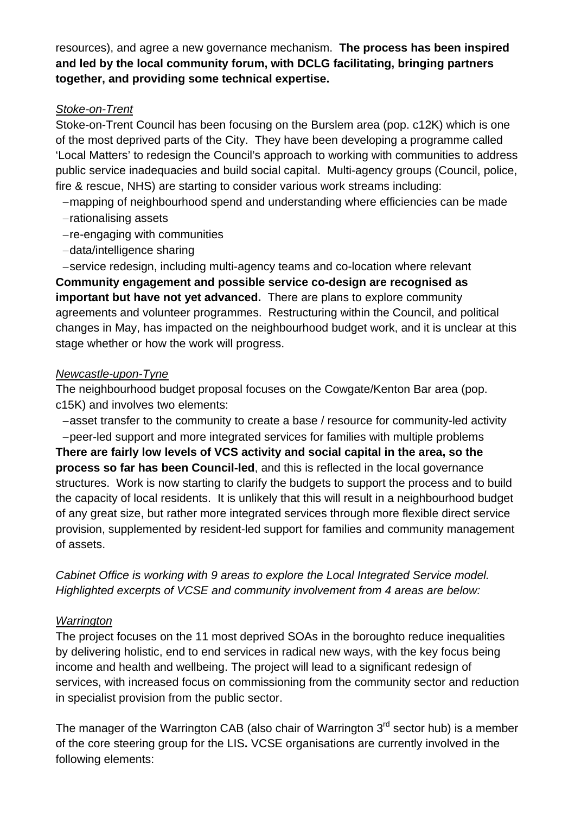resources), and agree a new governance mechanism. **The process has been inspired and led by the local community forum, with DCLG facilitating, bringing partners together, and providing some technical expertise.** 

### *Stoke-on-Trent*

Stoke-on-Trent Council has been focusing on the Burslem area (pop. c12K) which is one of the most deprived parts of the City. They have been developing a programme called 'Local Matters' to redesign the Council's approach to working with communities to address public service inadequacies and build social capital. Multi-agency groups (Council, police, fire & rescue, NHS) are starting to consider various work streams including:

− mapping of neighbourhood spend and understanding where efficiencies can be made

- − rationalising assets
- − re-engaging with communities
- − data/intelligence sharing

− service redesign, including multi-agency teams and co-location where relevant

**Community engagement and possible service co-design are recognised as important but have not yet advanced.** There are plans to explore community agreements and volunteer programmes. Restructuring within the Council, and political changes in May, has impacted on the neighbourhood budget work, and it is unclear at this stage whether or how the work will progress.

## *Newcastle-upon-Tyne*

The neighbourhood budget proposal focuses on the Cowgate/Kenton Bar area (pop. c15K) and involves two elements:

− asset transfer to the community to create a base / resource for community-led activity

− peer-led support and more integrated services for families with multiple problems

**There are fairly low levels of VCS activity and social capital in the area, so the process so far has been Council-led**, and this is reflected in the local governance structures. Work is now starting to clarify the budgets to support the process and to build the capacity of local residents. It is unlikely that this will result in a neighbourhood budget of any great size, but rather more integrated services through more flexible direct service provision, supplemented by resident-led support for families and community management of assets.

*Cabinet Office is working with 9 areas to explore the Local Integrated Service model. Highlighted excerpts of VCSE and community involvement from 4 areas are below:* 

# *Warrington*

The project focuses on the 11 most deprived SOAs in the boroughto reduce inequalities by delivering holistic, end to end services in radical new ways, with the key focus being income and health and wellbeing. The project will lead to a significant redesign of services, with increased focus on commissioning from the community sector and reduction in specialist provision from the public sector.

The manager of the Warrington CAB (also chair of Warrington  $3<sup>rd</sup>$  sector hub) is a member of the core steering group for the LIS**.** VCSE organisations are currently involved in the following elements: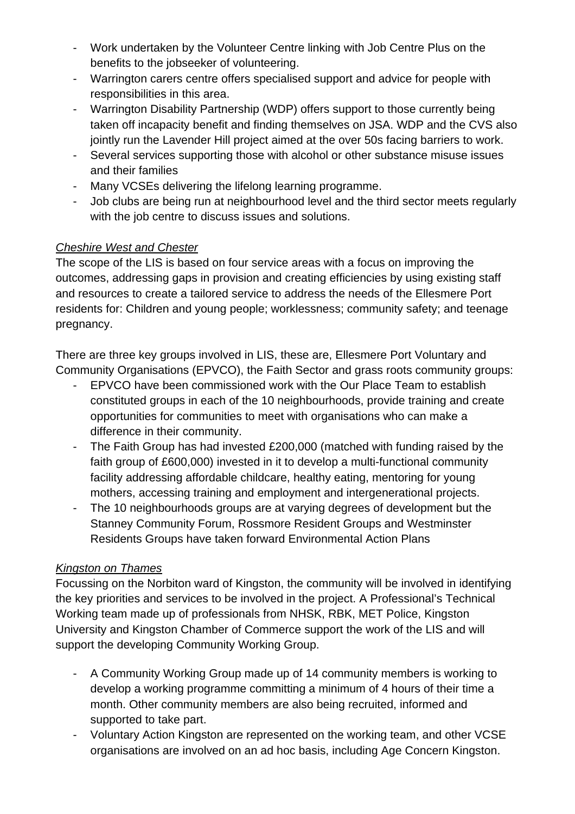- Work undertaken by the Volunteer Centre linking with Job Centre Plus on the benefits to the jobseeker of volunteering.
- Warrington carers centre offers specialised support and advice for people with responsibilities in this area.
- Warrington Disability Partnership (WDP) offers support to those currently being taken off incapacity benefit and finding themselves on JSA. WDP and the CVS also jointly run the Lavender Hill project aimed at the over 50s facing barriers to work.
- Several services supporting those with alcohol or other substance misuse issues and their families
- Many VCSEs delivering the lifelong learning programme.
- Job clubs are being run at neighbourhood level and the third sector meets regularly with the job centre to discuss issues and solutions.

# *Cheshire West and Chester*

The scope of the LIS is based on four service areas with a focus on improving the outcomes, addressing gaps in provision and creating efficiencies by using existing staff and resources to create a tailored service to address the needs of the Ellesmere Port residents for: Children and young people; worklessness; community safety; and teenage pregnancy.

There are three key groups involved in LIS, these are, Ellesmere Port Voluntary and Community Organisations (EPVCO), the Faith Sector and grass roots community groups:

- EPVCO have been commissioned work with the Our Place Team to establish constituted groups in each of the 10 neighbourhoods, provide training and create opportunities for communities to meet with organisations who can make a difference in their community.
- The Faith Group has had invested £200,000 (matched with funding raised by the faith group of £600,000) invested in it to develop a multi-functional community facility addressing affordable childcare, healthy eating, mentoring for young mothers, accessing training and employment and intergenerational projects.
- The 10 neighbourhoods groups are at varying degrees of development but the Stanney Community Forum, Rossmore Resident Groups and Westminster Residents Groups have taken forward Environmental Action Plans

# *Kingston on Thames*

Focussing on the Norbiton ward of Kingston, the community will be involved in identifying the key priorities and services to be involved in the project. A Professional's Technical Working team made up of professionals from NHSK, RBK, MET Police, Kingston University and Kingston Chamber of Commerce support the work of the LIS and will support the developing Community Working Group.

- A Community Working Group made up of 14 community members is working to develop a working programme committing a minimum of 4 hours of their time a month. Other community members are also being recruited, informed and supported to take part.
- Voluntary Action Kingston are represented on the working team, and other VCSE organisations are involved on an ad hoc basis, including Age Concern Kingston.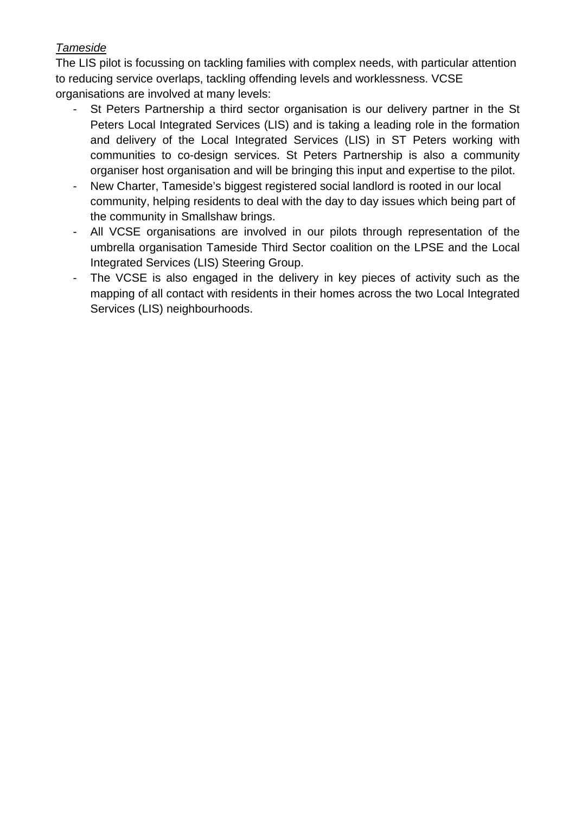## *Tameside*

The LIS pilot is focussing on tackling families with complex needs, with particular attention to reducing service overlaps, tackling offending levels and worklessness. VCSE organisations are involved at many levels:

- St Peters Partnership a third sector organisation is our delivery partner in the St Peters Local Integrated Services (LIS) and is taking a leading role in the formation and delivery of the Local Integrated Services (LIS) in ST Peters working with communities to co-design services. St Peters Partnership is also a community organiser host organisation and will be bringing this input and expertise to the pilot.
- New Charter, Tameside's biggest registered social landlord is rooted in our local community, helping residents to deal with the day to day issues which being part of the community in Smallshaw brings.
- All VCSE organisations are involved in our pilots through representation of the umbrella organisation Tameside Third Sector coalition on the LPSE and the Local Integrated Services (LIS) Steering Group.
- The VCSE is also engaged in the delivery in key pieces of activity such as the mapping of all contact with residents in their homes across the two Local Integrated Services (LIS) neighbourhoods.